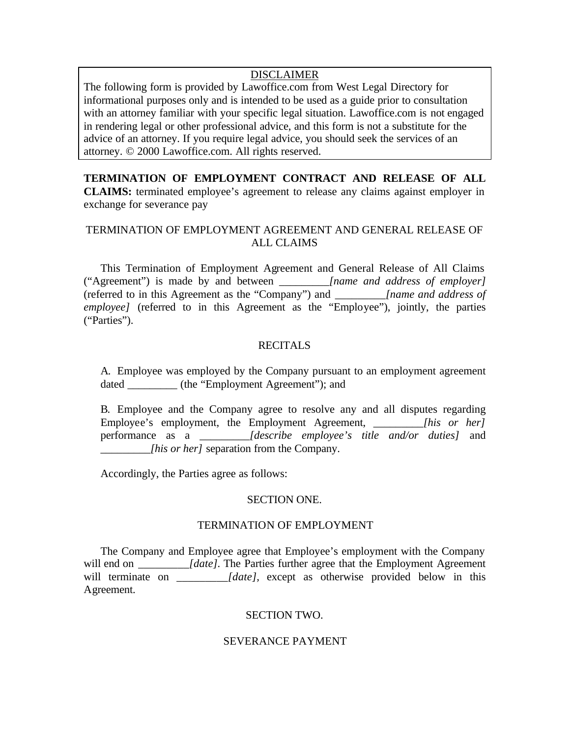# DISCLAIMER

The following form is provided by Lawoffice.com from West Legal Directory for informational purposes only and is intended to be used as a guide prior to consultation with an attorney familiar with your specific legal situation. Lawoffice.com is not engaged in rendering legal or other professional advice, and this form is not a substitute for the advice of an attorney. If you require legal advice, you should seek the services of an attorney. © 2000 Lawoffice.com. All rights reserved.

**TERMINATION OF EMPLOYMENT CONTRACT AND RELEASE OF ALL CLAIMS:** terminated employee's agreement to release any claims against employer in exchange for severance pay

# TERMINATION OF EMPLOYMENT AGREEMENT AND GENERAL RELEASE OF ALL CLAIMS

This Termination of Employment Agreement and General Release of All Claims ("Agreement") is made by and between *\_\_\_\_\_\_\_\_\_[name and address of employer]* (referred to in this Agreement as the "Company") and *\_\_\_\_\_\_\_\_\_[name and address of employee]* (referred to in this Agreement as the "Employee"), jointly, the parties ("Parties").

# RECITALS

A. Employee was employed by the Company pursuant to an employment agreement dated  $(the "Employment Agreement");$  and

B. Employee and the Company agree to resolve any and all disputes regarding Employee's employment, the Employment Agreement, *[his or her]* performance as a *\_\_\_\_\_\_\_\_\_[describe employee's title and/or duties]* and *\_\_\_\_\_\_\_\_\_[his or her]* separation from the Company.

Accordingly, the Parties agree as follows:

## SECTION ONE.

## TERMINATION OF EMPLOYMENT

The Company and Employee agree that Employee's employment with the Company will end on *[date]*. The Parties further agree that the Employment Agreement will terminate on *\_\_\_\_\_\_\_\_\_[date],* except as otherwise provided below in this Agreement.

#### SECTION TWO.

## SEVERANCE PAYMENT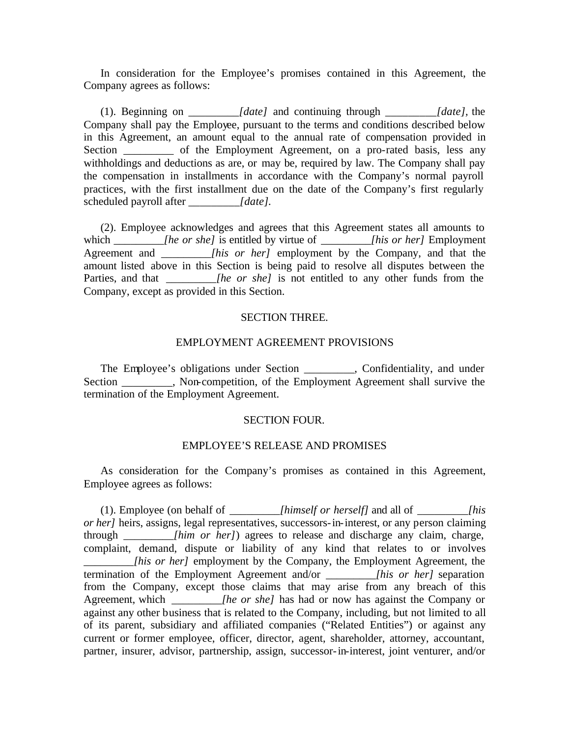In consideration for the Employee's promises contained in this Agreement, the Company agrees as follows:

(1). Beginning on *\_\_\_\_\_\_\_\_\_[date]* and continuing through *\_\_\_\_\_\_\_\_\_[date],* the Company shall pay the Employee, pursuant to the terms and conditions described below in this Agreement, an amount equal to the annual rate of compensation provided in Section \_\_\_\_\_\_\_\_\_ of the Employment Agreement, on a pro-rated basis, less any withholdings and deductions as are, or may be, required by law. The Company shall pay the compensation in installments in accordance with the Company's normal payroll practices, with the first installment due on the date of the Company's first regularly scheduled payroll after *[date]*.

(2). Employee acknowledges and agrees that this Agreement states all amounts to which *\_\_\_\_\_\_\_\_\_[he or she]* is entitled by virtue of *\_\_\_\_\_\_\_\_\_[his or her]* Employment Agreement and *lhis or her]* employment by the Company, and that the amount listed above in this Section is being paid to resolve all disputes between the Parties, and that *\_\_\_\_\_\_\_\_\_[he or she]* is not entitled to any other funds from the Company, except as provided in this Section.

#### SECTION THREE.

## EMPLOYMENT AGREEMENT PROVISIONS

The Employee's obligations under Section \_\_\_\_\_\_\_\_\_, Confidentiality, and under Section Section and Non-competition, of the Employment Agreement shall survive the termination of the Employment Agreement.

## SECTION FOUR.

# EMPLOYEE'S RELEASE AND PROMISES

As consideration for the Company's promises as contained in this Agreement, Employee agrees as follows:

(1). Employee (on behalf of *\_\_\_\_\_\_\_\_\_[himself or herself]* and all of *\_\_\_\_\_\_\_\_\_[his or her]* heirs, assigns, legal representatives, successors-in-interest, or any person claiming through *\_\_\_\_\_\_\_\_\_[him or her]*) agrees to release and discharge any claim, charge, complaint, demand, dispute or liability of any kind that relates to or involves *lhis or her]* employment by the Company, the Employment Agreement, the termination of the Employment Agreement and/or *\_\_\_\_\_\_\_\_\_[his or her]* separation from the Company, except those claims that may arise from any breach of this Agreement, which *\_\_\_\_\_\_\_\_\_[he or she]* has had or now has against the Company or against any other business that is related to the Company, including, but not limited to all of its parent, subsidiary and affiliated companies ("Related Entities") or against any current or former employee, officer, director, agent, shareholder, attorney, accountant, partner, insurer, advisor, partnership, assign, successor-in-interest, joint venturer, and/or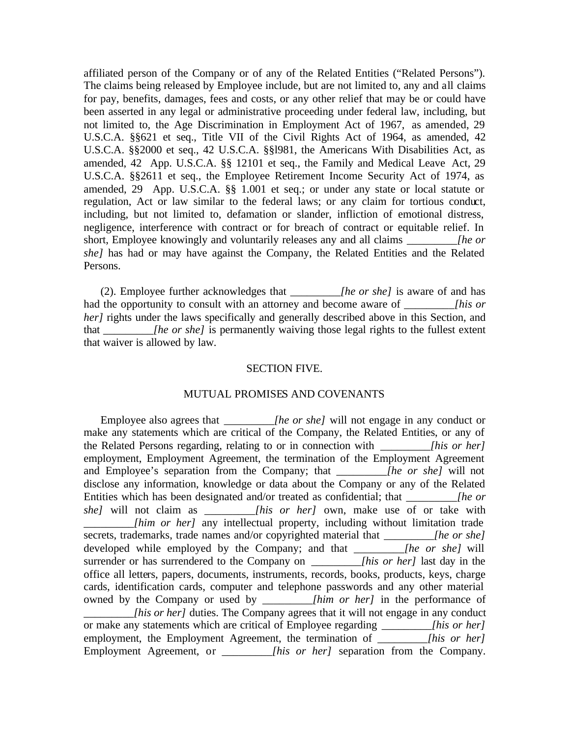affiliated person of the Company or of any of the Related Entities ("Related Persons"). The claims being released by Employee include, but are not limited to, any and all claims for pay, benefits, damages, fees and costs, or any other relief that may be or could have been asserted in any legal or administrative proceeding under federal law, including, but not limited to, the Age Discrimination in Employment Act of 1967, as amended, 29 U.S.C.A. §§621 et seq., Title VII of the Civil Rights Act of 1964, as amended, 42 U.S.C.A. §§2000 et seq., 42 U.S.C.A. §§l981, the Americans With Disabilities Act, as amended, 42 App. U.S.C.A. §§ 12101 et seq., the Family and Medical Leave Act, 29 U.S.C.A. §§2611 et seq., the Employee Retirement Income Security Act of 1974, as amended, 29 App. U.S.C.A. §§ 1.001 et seq.; or under any state or local statute or regulation, Act or law similar to the federal laws; or any claim for tortious conduct, including, but not limited to, defamation or slander, infliction of emotional distress, negligence, interference with contract or for breach of contract or equitable relief. In short, Employee knowingly and voluntarily releases any and all claims *\_\_\_\_\_\_\_\_\_[he or she]* has had or may have against the Company, the Related Entities and the Related Persons.

(2). Employee further acknowledges that *\_\_\_\_\_\_\_\_\_[he or she]* is aware of and has had the opportunity to consult with an attorney and become aware of \_\_\_\_\_\_\_*\_\_[his or her]* rights under the laws specifically and generally described above in this Section, and that *lhe or she]* is permanently waiving those legal rights to the fullest extent that waiver is allowed by law.

#### SECTION FIVE.

### MUTUAL PROMISES AND COVENANTS

Employee also agrees that *\_\_\_\_\_\_\_\_\_[he or she]* will not engage in any conduct or make any statements which are critical of the Company, the Related Entities, or any of the Related Persons regarding, relating to or in connection with *[his or her]* employment, Employment Agreement, the termination of the Employment Agreement and Employee's separation from the Company; that *\_\_\_\_\_\_\_\_\_[he or she]* will not disclose any information, knowledge or data about the Company or any of the Related Entities which has been designated and/or treated as confidential; that *Ihe or she]* will not claim as *lhis or her]* own, make use of or take with *\_\_\_\_\_\_\_\_\_[him or her]* any intellectual property, including without limitation trade secrets, trademarks, trade names and/or copyrighted material that *\_\_\_\_\_\_\_\_\_[he or she]* developed while employed by the Company; and that *[he or she]* will surrender or has surrendered to the Company on *\_\_\_\_\_\_\_\_\_[his or her]* last day in the office all letters, papers, documents, instruments, records, books, products, keys, charge cards, identification cards, computer and telephone passwords and any other material owned by the Company or used by *\_\_\_\_\_\_\_\_\_[him or her]* in the performance of *\_\_\_\_\_\_\_\_\_[his or her]* duties. The Company agrees that it will not engage in any conduct or make any statements which are critical of Employee regarding *\_\_\_\_\_\_\_\_\_[his or her]* employment, the Employment Agreement, the termination of *\_\_\_\_\_\_\_\_\_\_[his or her]* Employment Agreement, or *\_\_\_\_\_\_\_\_\_[his or her]* separation from the Company.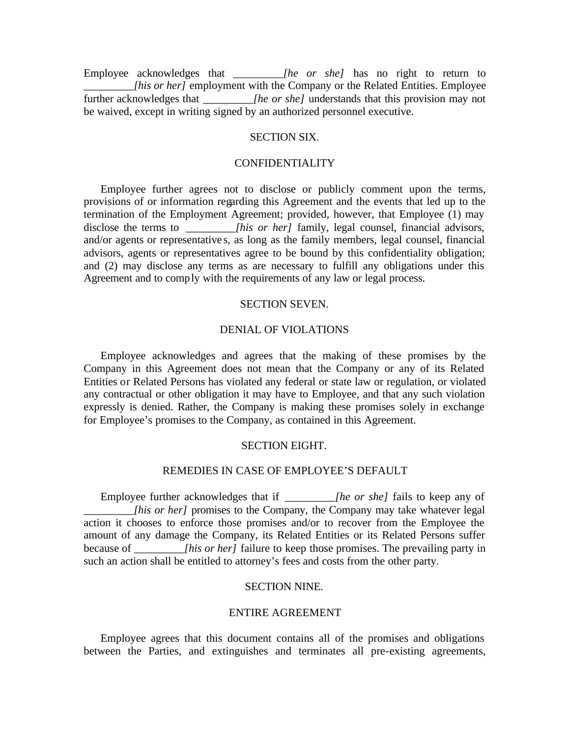Employee acknowledges that *\_\_\_\_\_\_\_\_\_[he or she]* has no right to return to *\_[his or her]* employment with the Company or the Related Entities. Employee further acknowledges that *\_\_\_\_\_\_\_\_\_[he or she]* understands that this provision may not be waived, except in writing signed by an authorized personnel executive.

## SECTION SIX.

#### CONFIDENTIALITY

Employee further agrees not to disclose or publicly comment upon the terms, provisions of or information regarding this Agreement and the events that led up to the termination of the Employment Agreement; provided, however, that Employee (1) may disclose the terms to *lhis or her]* family, legal counsel, financial advisors, and/or agents or representative s, as long as the family members, legal counsel, financial advisors, agents or representatives agree to be bound by this confidentiality obligation; and (2) may disclose any terms as are necessary to fulfill any obligations under this Agreement and to comply with the requirements of any law or legal process.

## SECTION SEVEN.

## DENIAL OF VIOLATIONS

Employee acknowledges and agrees that the making of these promises by the Company in this Agreement does not mean that the Company or any of its Related Entities or Related Persons has violated any federal or state law or regulation, or violated any contractual or other obligation it may have to Employee, and that any such violation expressly is denied. Rather, the Company is making these promises solely in exchange for Employee's promises to the Company, as contained in this Agreement.

#### SECTION EIGHT.

# REMEDIES IN CASE OF EMPLOYEE'S DEFAULT

Employee further acknowledges that if *\_\_\_\_\_\_\_\_\_[he or she]* fails to keep any of *Ihis or her]* promises to the Company, the Company may take whatever legal action it chooses to enforce those promises and/or to recover from the Employee the amount of any damage the Company, its Related Entities or its Related Persons suffer because of *lhis or her]* failure to keep those promises. The prevailing party in such an action shall be entitled to attorney's fees and costs from the other party.

#### SECTION NINE.

### ENTIRE AGREEMENT

Employee agrees that this document contains all of the promises and obligations between the Parties, and extinguishes and terminates all pre-existing agreements,